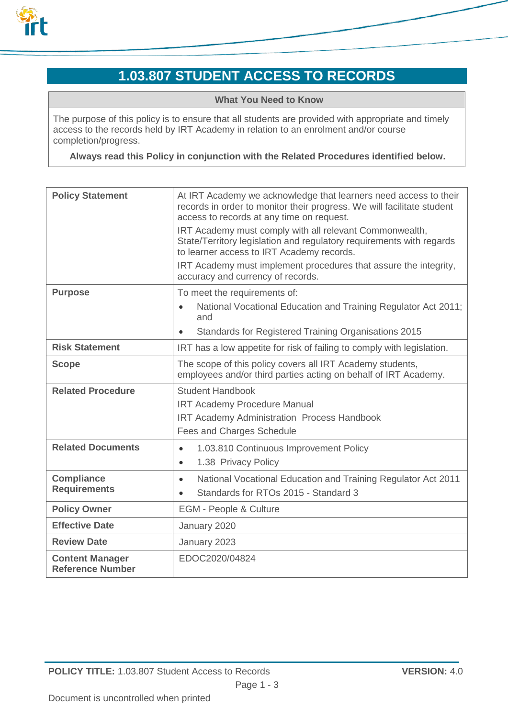

# **1.03.807 STUDENT ACCESS TO RECORDS**

**What You Need to Know**

The purpose of this policy is to ensure that all students are provided with appropriate and timely access to the records held by IRT Academy in relation to an enrolment and/or course completion/progress.

**Always read this Policy in conjunction with the Related Procedures identified below.**

| <b>Policy Statement</b>                  | At IRT Academy we acknowledge that learners need access to their<br>records in order to monitor their progress. We will facilitate student<br>access to records at any time on request.<br>IRT Academy must comply with all relevant Commonwealth,<br>State/Territory legislation and regulatory requirements with regards<br>to learner access to IRT Academy records.<br>IRT Academy must implement procedures that assure the integrity, |
|------------------------------------------|---------------------------------------------------------------------------------------------------------------------------------------------------------------------------------------------------------------------------------------------------------------------------------------------------------------------------------------------------------------------------------------------------------------------------------------------|
|                                          | accuracy and currency of records.                                                                                                                                                                                                                                                                                                                                                                                                           |
| <b>Purpose</b>                           | To meet the requirements of:<br>National Vocational Education and Training Regulator Act 2011;<br>$\bullet$                                                                                                                                                                                                                                                                                                                                 |
|                                          | and<br>Standards for Registered Training Organisations 2015<br>$\bullet$                                                                                                                                                                                                                                                                                                                                                                    |
| <b>Risk Statement</b>                    | IRT has a low appetite for risk of failing to comply with legislation.                                                                                                                                                                                                                                                                                                                                                                      |
| <b>Scope</b>                             | The scope of this policy covers all IRT Academy students,<br>employees and/or third parties acting on behalf of IRT Academy.                                                                                                                                                                                                                                                                                                                |
| <b>Related Procedure</b>                 | <b>Student Handbook</b><br><b>IRT Academy Procedure Manual</b><br><b>IRT Academy Administration Process Handbook</b>                                                                                                                                                                                                                                                                                                                        |
|                                          | Fees and Charges Schedule                                                                                                                                                                                                                                                                                                                                                                                                                   |
| <b>Related Documents</b>                 | 1.03.810 Continuous Improvement Policy<br>$\bullet$<br>1.38 Privacy Policy<br>$\bullet$                                                                                                                                                                                                                                                                                                                                                     |
| <b>Compliance</b><br><b>Requirements</b> | National Vocational Education and Training Regulator Act 2011<br>$\bullet$<br>Standards for RTOs 2015 - Standard 3<br>$\bullet$                                                                                                                                                                                                                                                                                                             |
| <b>Policy Owner</b>                      | <b>EGM - People &amp; Culture</b>                                                                                                                                                                                                                                                                                                                                                                                                           |
| <b>Effective Date</b>                    | January 2020                                                                                                                                                                                                                                                                                                                                                                                                                                |
| <b>Review Date</b>                       | January 2023                                                                                                                                                                                                                                                                                                                                                                                                                                |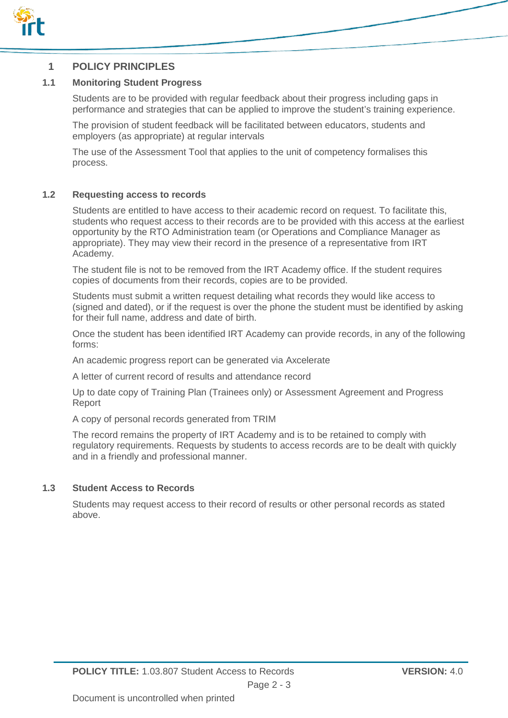

### **1 POLICY PRINCIPLES**

#### **1.1 Monitoring Student Progress**

Students are to be provided with regular feedback about their progress including gaps in performance and strategies that can be applied to improve the student's training experience.

The provision of student feedback will be facilitated between educators, students and employers (as appropriate) at regular intervals

The use of the Assessment Tool that applies to the unit of competency formalises this process.

#### **1.2 Requesting access to records**

Students are entitled to have access to their academic record on request. To facilitate this, students who request access to their records are to be provided with this access at the earliest opportunity by the RTO Administration team (or Operations and Compliance Manager as appropriate). They may view their record in the presence of a representative from IRT Academy.

The student file is not to be removed from the IRT Academy office. If the student requires copies of documents from their records, copies are to be provided.

Students must submit a written request detailing what records they would like access to (signed and dated), or if the request is over the phone the student must be identified by asking for their full name, address and date of birth.

Once the student has been identified IRT Academy can provide records, in any of the following forms:

An academic progress report can be generated via Axcelerate

A letter of current record of results and attendance record

Up to date copy of Training Plan (Trainees only) or Assessment Agreement and Progress Report

A copy of personal records generated from TRIM

The record remains the property of IRT Academy and is to be retained to comply with regulatory requirements. Requests by students to access records are to be dealt with quickly and in a friendly and professional manner.

#### **1.3 Student Access to Records**

Students may request access to their record of results or other personal records as stated above.